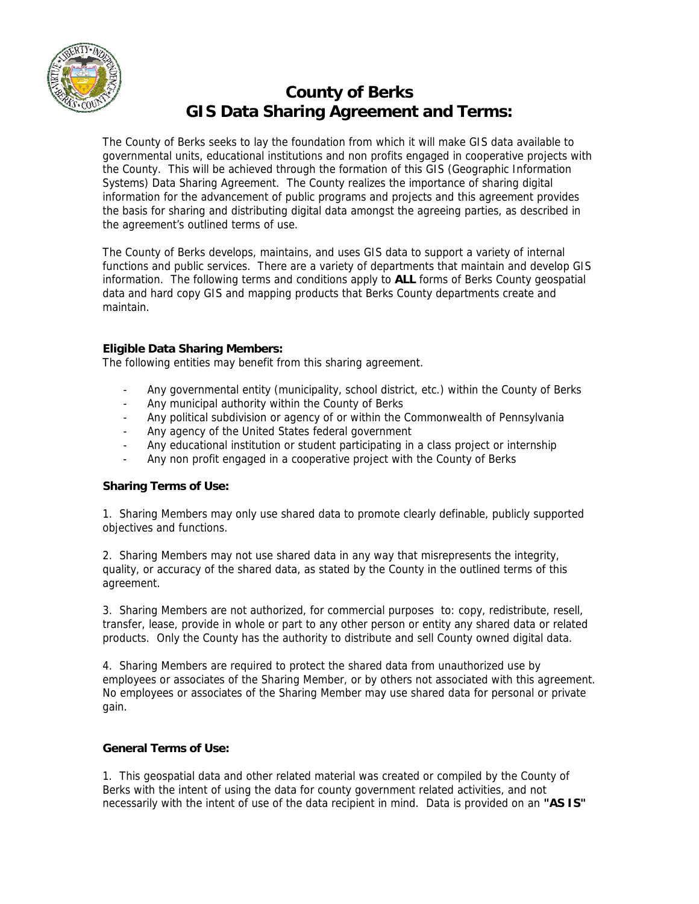

# **County of Berks GIS Data Sharing Agreement and Terms:**

The County of Berks seeks to lay the foundation from which it will make GIS data available to governmental units, educational institutions and non profits engaged in cooperative projects with the County. This will be achieved through the formation of this GIS (Geographic Information Systems) Data Sharing Agreement. The County realizes the importance of sharing digital information for the advancement of public programs and projects and this agreement provides the basis for sharing and distributing digital data amongst the agreeing parties, as described in the agreement's outlined terms of use.

The County of Berks develops, maintains, and uses GIS data to support a variety of internal functions and public services. There are a variety of departments that maintain and develop GIS information. The following terms and conditions apply to **ALL** forms of Berks County geospatial data and hard copy GIS and mapping products that Berks County departments create and maintain.

## **Eligible Data Sharing Members:**

The following entities may benefit from this sharing agreement.

- Any governmental entity (municipality, school district, etc.) within the County of Berks
- Any municipal authority within the County of Berks
- Any political subdivision or agency of or within the Commonwealth of Pennsylvania
- Any agency of the United States federal government
- Any educational institution or student participating in a class project or internship
- Any non profit engaged in a cooperative project with the County of Berks

## **Sharing Terms of Use:**

1. Sharing Members may only use shared data to promote clearly definable, publicly supported objectives and functions.

2. Sharing Members may not use shared data in any way that misrepresents the integrity, quality, or accuracy of the shared data, as stated by the County in the outlined terms of this agreement.

3. Sharing Members are not authorized, for commercial purposes to: copy, redistribute, resell, transfer, lease, provide in whole or part to any other person or entity any shared data or related products. Only the County has the authority to distribute and sell County owned digital data.

4. Sharing Members are required to protect the shared data from unauthorized use by employees or associates of the Sharing Member, or by others not associated with this agreement. No employees or associates of the Sharing Member may use shared data for personal or private gain.

## **General Terms of Use:**

1. This geospatial data and other related material was created or compiled by the County of Berks with the intent of using the data for county government related activities, and not necessarily with the intent of use of the data recipient in mind. Data is provided on an **"AS IS"**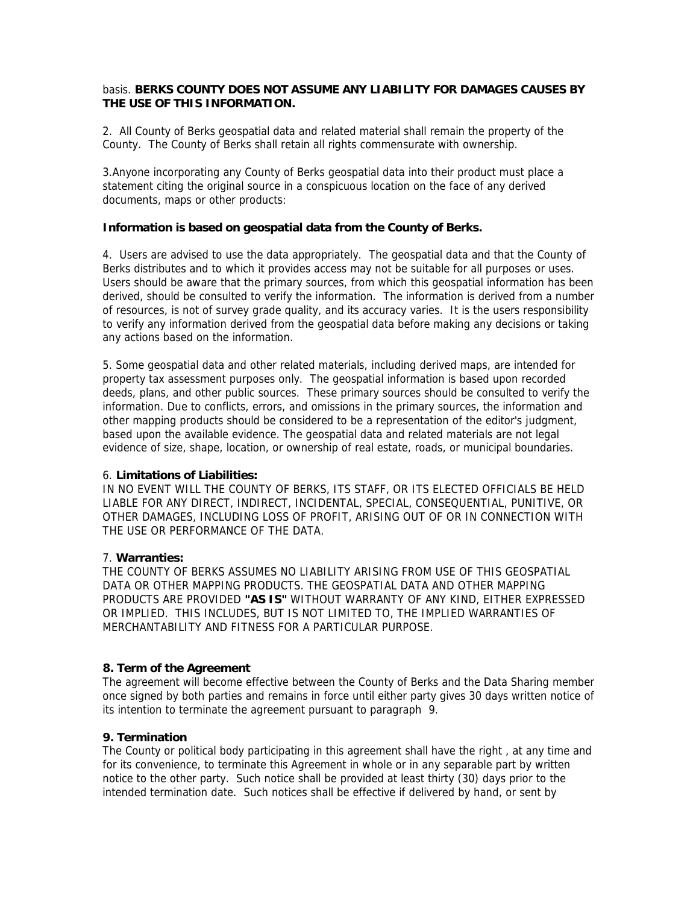### basis. **BERKS COUNTY DOES NOT ASSUME ANY LIABILITY FOR DAMAGES CAUSES BY THE USE OF THIS INFORMATION.**

2. All County of Berks geospatial data and related material shall remain the property of the County. The County of Berks shall retain all rights commensurate with ownership.

3.Anyone incorporating any County of Berks geospatial data into their product must place a statement citing the original source in a conspicuous location on the face of any derived documents, maps or other products:

### **Information is based on geospatial data from the County of Berks.**

4. Users are advised to use the data appropriately. The geospatial data and that the County of Berks distributes and to which it provides access may not be suitable for all purposes or uses. Users should be aware that the primary sources, from which this geospatial information has been derived, should be consulted to verify the information. The information is derived from a number of resources, is not of survey grade quality, and its accuracy varies. It is the users responsibility to verify any information derived from the geospatial data before making any decisions or taking any actions based on the information.

5. Some geospatial data and other related materials, including derived maps, are intended for property tax assessment purposes only. The geospatial information is based upon recorded deeds, plans, and other public sources. These primary sources should be consulted to verify the information. Due to conflicts, errors, and omissions in the primary sources, the information and other mapping products should be considered to be a representation of the editor's judgment, based upon the available evidence. The geospatial data and related materials are not legal evidence of size, shape, location, or ownership of real estate, roads, or municipal boundaries.

#### 6. **Limitations of Liabilities:**

IN NO EVENT WILL THE COUNTY OF BERKS, ITS STAFF, OR ITS ELECTED OFFICIALS BE HELD LIABLE FOR ANY DIRECT, INDIRECT, INCIDENTAL, SPECIAL, CONSEQUENTIAL, PUNITIVE, OR OTHER DAMAGES, INCLUDING LOSS OF PROFIT, ARISING OUT OF OR IN CONNECTION WITH THE USE OR PERFORMANCE OF THE DATA.

## 7. **Warranties:**

THE COUNTY OF BERKS ASSUMES NO LIABILITY ARISING FROM USE OF THIS GEOSPATIAL DATA OR OTHER MAPPING PRODUCTS. THE GEOSPATIAL DATA AND OTHER MAPPING PRODUCTS ARE PROVIDED **"AS IS"** WITHOUT WARRANTY OF ANY KIND, EITHER EXPRESSED OR IMPLIED. THIS INCLUDES, BUT IS NOT LIMITED TO, THE IMPLIED WARRANTIES OF MERCHANTABILITY AND FITNESS FOR A PARTICULAR PURPOSE.

## **8. Term of the Agreement**

The agreement will become effective between the County of Berks and the Data Sharing member once signed by both parties and remains in force until either party gives 30 days written notice of its intention to terminate the agreement pursuant to paragraph 9.

## **9. Termination**

The County or political body participating in this agreement shall have the right , at any time and for its convenience, to terminate this Agreement in whole or in any separable part by written notice to the other party. Such notice shall be provided at least thirty (30) days prior to the intended termination date. Such notices shall be effective if delivered by hand, or sent by